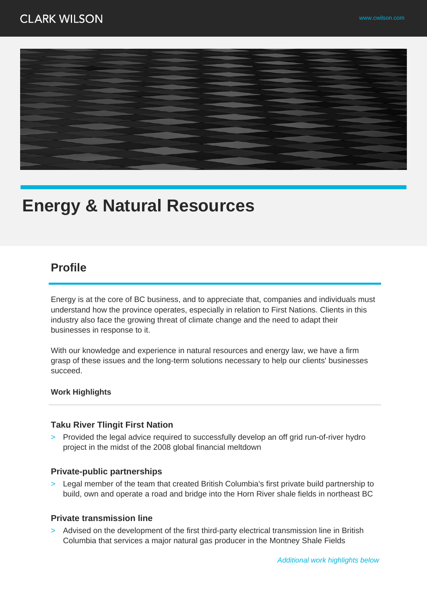

# **Energy & Natural Resources**

# **Profile**

Energy is at the core of BC business, and to appreciate that, companies and individuals must understand how the province operates, especially in relation to First Nations. Clients in this industry also face the growing threat of climate change and the need to adapt their businesses in response to it.

With our knowledge and experience in natural resources and energy law, we have a firm grasp of these issues and the long-term solutions necessary to help our clients' businesses succeed.

### **Work Highlights**

### **Taku River Tlingit First Nation**

> Provided the legal advice required to successfully develop an off grid run-of-river hydro project in the midst of the 2008 global financial meltdown

### **Private-public partnerships**

> Legal member of the team that created British Columbia's first private build partnership to build, own and operate a road and bridge into the Horn River shale fields in northeast BC

### **Private transmission line**

> Advised on the development of the first third-party electrical transmission line in British Columbia that services a major natural gas producer in the Montney Shale Fields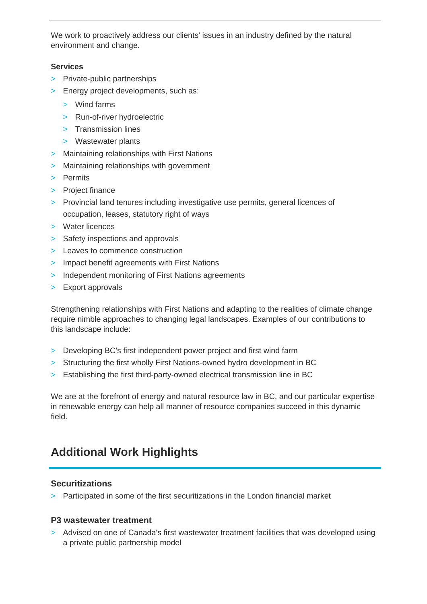We work to proactively address our clients' issues in an industry defined by the natural environment and change.

### **Services**

- > Private-public partnerships
- > Energy project developments, such as:
	- > Wind farms
	- > Run-of-river hydroelectric
	- > Transmission lines
	- > Wastewater plants
- > Maintaining relationships with First Nations
- > Maintaining relationships with government
- > Permits
- > Project finance
- > Provincial land tenures including investigative use permits, general licences of occupation, leases, statutory right of ways
- > Water licences
- > Safety inspections and approvals
- > Leaves to commence construction
- > Impact benefit agreements with First Nations
- > Independent monitoring of First Nations agreements
- > Export approvals

Strengthening relationships with First Nations and adapting to the realities of climate change require nimble approaches to changing legal landscapes. Examples of our contributions to this landscape include:

- > Developing BC's first independent power project and first wind farm
- > Structuring the first wholly First Nations-owned hydro development in BC
- > Establishing the first third-party-owned electrical transmission line in BC

We are at the forefront of energy and natural resource law in BC, and our particular expertise in renewable energy can help all manner of resource companies succeed in this dynamic field.

# **Additional Work Highlights**

### **Securitizations**

> Participated in some of the first securitizations in the London financial market

### **P3 wastewater treatment**

> Advised on one of Canada's first wastewater treatment facilities that was developed using a private public partnership model